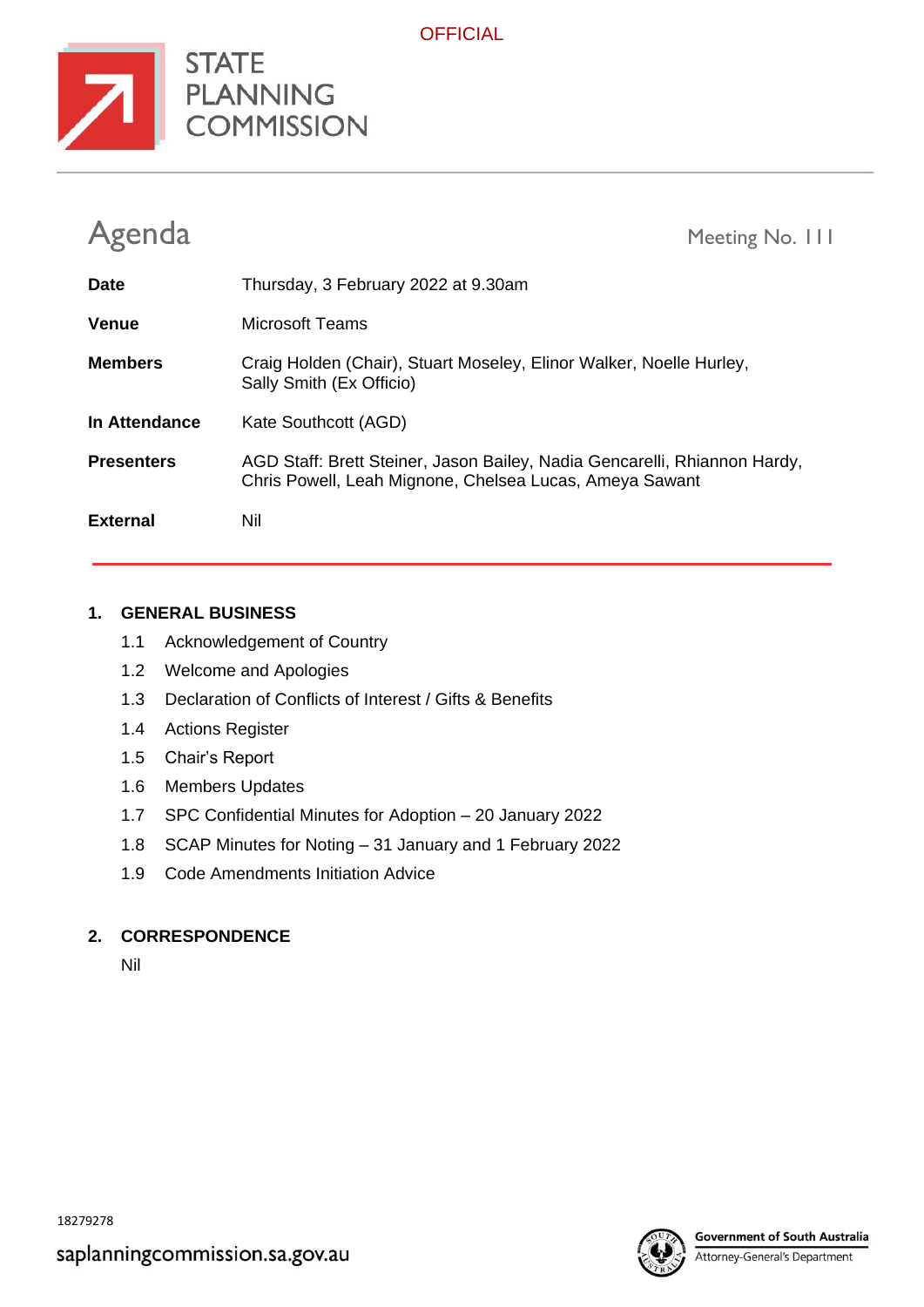

**OFFICIAL** 

| Agenda            | Meeting No. 111                                                                                                                      |
|-------------------|--------------------------------------------------------------------------------------------------------------------------------------|
| <b>Date</b>       | Thursday, 3 February 2022 at 9.30am                                                                                                  |
| <b>Venue</b>      | <b>Microsoft Teams</b>                                                                                                               |
| <b>Members</b>    | Craig Holden (Chair), Stuart Moseley, Elinor Walker, Noelle Hurley,<br>Sally Smith (Ex Officio)                                      |
| In Attendance     | Kate Southcott (AGD)                                                                                                                 |
| <b>Presenters</b> | AGD Staff: Brett Steiner, Jason Bailey, Nadia Gencarelli, Rhiannon Hardy,<br>Chris Powell, Leah Mignone, Chelsea Lucas, Ameya Sawant |
| <b>External</b>   | Nil                                                                                                                                  |

#### **1. GENERAL BUSINESS**

- 1.1 Acknowledgement of Country
- 1.2 Welcome and Apologies
- 1.3 Declaration of Conflicts of Interest / Gifts & Benefits
- 1.4 Actions Register
- 1.5 Chair's Report
- 1.6 Members Updates
- 1.7 SPC Confidential Minutes for Adoption 20 January 2022
- 1.8 SCAP Minutes for Noting 31 January and 1 February 2022
- 1.9 Code Amendments Initiation Advice

#### **2. CORRESPONDENCE**

Nil